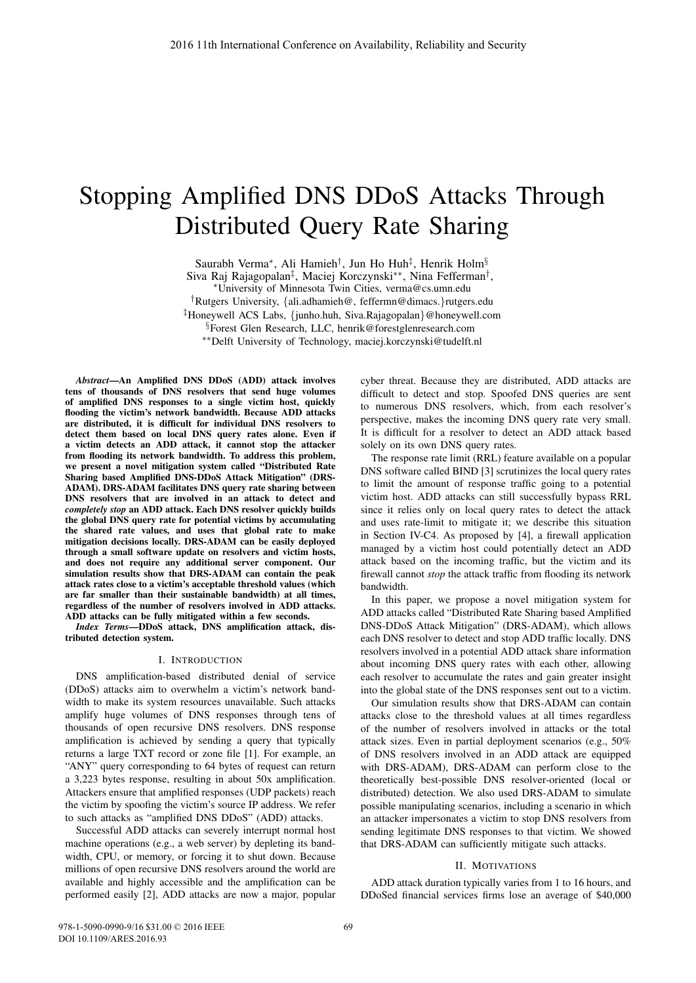# Stopping Amplified DNS DDoS Attacks Through Distributed Query Rate Sharing

Saurabh Verma∗, Ali Hamieh†, Jun Ho Huh‡, Henrik Holm§ Siva Raj Rajagopalan‡, Maciej Korczynski∗∗, Nina Fefferman†, ∗University of Minnesota Twin Cities, verma@cs.umn.edu †Rutgers University, {ali.adhamieh@, feffermn@dimacs.}rutgers.edu ‡Honeywell ACS Labs, {junho.huh, Siva.Rajagopalan}@honeywell.com §Forest Glen Research, LLC, henrik@forestglenresearch.com

∗∗Delft University of Technology, maciej.korczynski@tudelft.nl

*Abstract*—An Amplified DNS DDoS (ADD) attack involves tens of thousands of DNS resolvers that send huge volumes of amplified DNS responses to a single victim host, quickly flooding the victim's network bandwidth. Because ADD attacks are distributed, it is difficult for individual DNS resolvers to detect them based on local DNS query rates alone. Even if a victim detects an ADD attack, it cannot stop the attacker from flooding its network bandwidth. To address this problem, we present a novel mitigation system called "Distributed Rate Sharing based Amplified DNS-DDoS Attack Mitigation" (DRS-ADAM). DRS-ADAM facilitates DNS query rate sharing between DNS resolvers that are involved in an attack to detect and *completely stop* an ADD attack. Each DNS resolver quickly builds the global DNS query rate for potential victims by accumulating the shared rate values, and uses that global rate to make mitigation decisions locally. DRS-ADAM can be easily deployed through a small software update on resolvers and victim hosts, and does not require any additional server component. Our simulation results show that DRS-ADAM can contain the peak attack rates close to a victim's acceptable threshold values (which are far smaller than their sustainable bandwidth) at all times, regardless of the number of resolvers involved in ADD attacks. ADD attacks can be fully mitigated within a few seconds.

*Index Terms*—DDoS attack, DNS amplification attack, distributed detection system.

#### I. INTRODUCTION

DNS amplification-based distributed denial of service (DDoS) attacks aim to overwhelm a victim's network bandwidth to make its system resources unavailable. Such attacks amplify huge volumes of DNS responses through tens of thousands of open recursive DNS resolvers. DNS response amplification is achieved by sending a query that typically returns a large TXT record or zone file [1]. For example, an "ANY" query corresponding to 64 bytes of request can return a 3,223 bytes response, resulting in about 50x amplification. Attackers ensure that amplified responses (UDP packets) reach the victim by spoofing the victim's source IP address. We refer to such attacks as "amplified DNS DDoS" (ADD) attacks.

Successful ADD attacks can severely interrupt normal host machine operations (e.g., a web server) by depleting its bandwidth, CPU, or memory, or forcing it to shut down. Because millions of open recursive DNS resolvers around the world are available and highly accessible and the amplification can be performed easily [2], ADD attacks are now a major, popular cyber threat. Because they are distributed, ADD attacks are difficult to detect and stop. Spoofed DNS queries are sent to numerous DNS resolvers, which, from each resolver's perspective, makes the incoming DNS query rate very small. It is difficult for a resolver to detect an ADD attack based solely on its own DNS query rates.

The response rate limit (RRL) feature available on a popular DNS software called BIND [3] scrutinizes the local query rates to limit the amount of response traffic going to a potential victim host. ADD attacks can still successfully bypass RRL since it relies only on local query rates to detect the attack and uses rate-limit to mitigate it; we describe this situation in Section IV-C4. As proposed by [4], a firewall application managed by a victim host could potentially detect an ADD attack based on the incoming traffic, but the victim and its firewall cannot *stop* the attack traffic from flooding its network bandwidth.

In this paper, we propose a novel mitigation system for ADD attacks called "Distributed Rate Sharing based Amplified DNS-DDoS Attack Mitigation" (DRS-ADAM), which allows each DNS resolver to detect and stop ADD traffic locally. DNS resolvers involved in a potential ADD attack share information about incoming DNS query rates with each other, allowing each resolver to accumulate the rates and gain greater insight into the global state of the DNS responses sent out to a victim.

Our simulation results show that DRS-ADAM can contain attacks close to the threshold values at all times regardless of the number of resolvers involved in attacks or the total attack sizes. Even in partial deployment scenarios (e.g., 50% of DNS resolvers involved in an ADD attack are equipped with DRS-ADAM), DRS-ADAM can perform close to the theoretically best-possible DNS resolver-oriented (local or distributed) detection. We also used DRS-ADAM to simulate possible manipulating scenarios, including a scenario in which an attacker impersonates a victim to stop DNS resolvers from sending legitimate DNS responses to that victim. We showed that DRS-ADAM can sufficiently mitigate such attacks.

#### II. MOTIVATIONS

ADD attack duration typically varies from 1 to 16 hours, and DDoSed financial services firms lose an average of \$40,000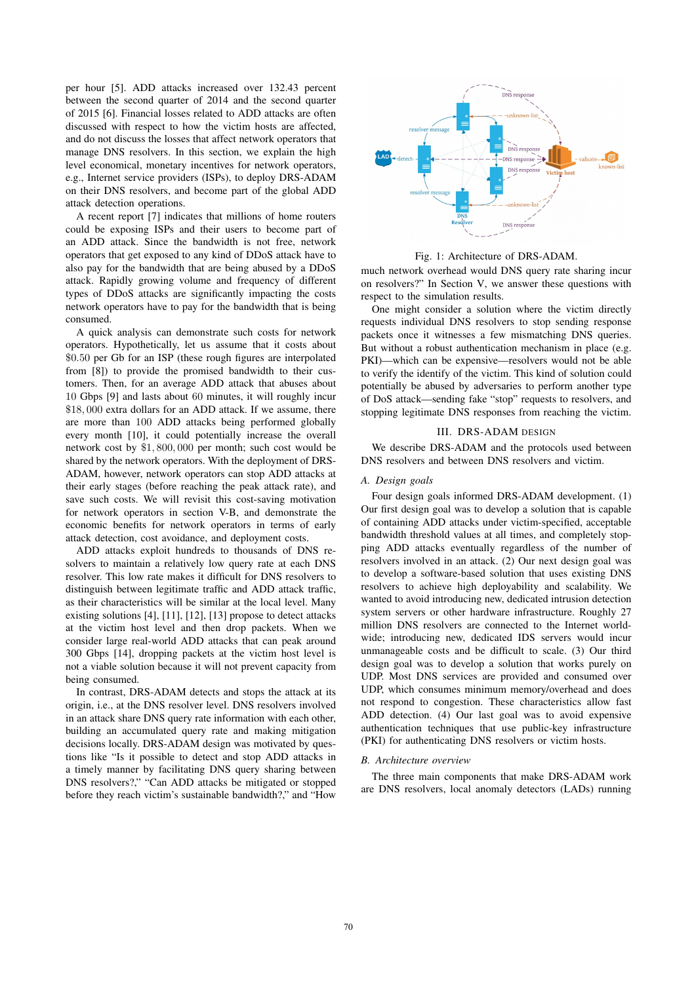per hour [5]. ADD attacks increased over 132.43 percent between the second quarter of 2014 and the second quarter of 2015 [6]. Financial losses related to ADD attacks are often discussed with respect to how the victim hosts are affected, and do not discuss the losses that affect network operators that manage DNS resolvers. In this section, we explain the high level economical, monetary incentives for network operators, e.g., Internet service providers (ISPs), to deploy DRS-ADAM on their DNS resolvers, and become part of the global ADD attack detection operations.

A recent report [7] indicates that millions of home routers could be exposing ISPs and their users to become part of an ADD attack. Since the bandwidth is not free, network operators that get exposed to any kind of DDoS attack have to also pay for the bandwidth that are being abused by a DDoS attack. Rapidly growing volume and frequency of different types of DDoS attacks are significantly impacting the costs network operators have to pay for the bandwidth that is being consumed.

A quick analysis can demonstrate such costs for network operators. Hypothetically, let us assume that it costs about \$0.50 per Gb for an ISP (these rough figures are interpolated from [8]) to provide the promised bandwidth to their customers. Then, for an average ADD attack that abuses about 10 Gbps [9] and lasts about 60 minutes, it will roughly incur \$18, 000 extra dollars for an ADD attack. If we assume, there are more than 100 ADD attacks being performed globally every month [10], it could potentially increase the overall network cost by \$1, 800, 000 per month; such cost would be shared by the network operators. With the deployment of DRS-ADAM, however, network operators can stop ADD attacks at their early stages (before reaching the peak attack rate), and save such costs. We will revisit this cost-saving motivation for network operators in section V-B, and demonstrate the economic benefits for network operators in terms of early attack detection, cost avoidance, and deployment costs.

ADD attacks exploit hundreds to thousands of DNS resolvers to maintain a relatively low query rate at each DNS resolver. This low rate makes it difficult for DNS resolvers to distinguish between legitimate traffic and ADD attack traffic, as their characteristics will be similar at the local level. Many existing solutions [4], [11], [12], [13] propose to detect attacks at the victim host level and then drop packets. When we consider large real-world ADD attacks that can peak around 300 Gbps [14], dropping packets at the victim host level is not a viable solution because it will not prevent capacity from being consumed.

In contrast, DRS-ADAM detects and stops the attack at its origin, i.e., at the DNS resolver level. DNS resolvers involved in an attack share DNS query rate information with each other, building an accumulated query rate and making mitigation decisions locally. DRS-ADAM design was motivated by questions like "Is it possible to detect and stop ADD attacks in a timely manner by facilitating DNS query sharing between DNS resolvers?," "Can ADD attacks be mitigated or stopped before they reach victim's sustainable bandwidth?," and "How



Fig. 1: Architecture of DRS-ADAM.

much network overhead would DNS query rate sharing incur on resolvers?" In Section V, we answer these questions with respect to the simulation results.

One might consider a solution where the victim directly requests individual DNS resolvers to stop sending response packets once it witnesses a few mismatching DNS queries. But without a robust authentication mechanism in place (e.g. PKI)—which can be expensive—resolvers would not be able to verify the identify of the victim. This kind of solution could potentially be abused by adversaries to perform another type of DoS attack—sending fake "stop" requests to resolvers, and stopping legitimate DNS responses from reaching the victim.

## III. DRS-ADAM DESIGN

We describe DRS-ADAM and the protocols used between DNS resolvers and between DNS resolvers and victim.

## *A. Design goals*

Four design goals informed DRS-ADAM development. (1) Our first design goal was to develop a solution that is capable of containing ADD attacks under victim-specified, acceptable bandwidth threshold values at all times, and completely stopping ADD attacks eventually regardless of the number of resolvers involved in an attack. (2) Our next design goal was to develop a software-based solution that uses existing DNS resolvers to achieve high deployability and scalability. We wanted to avoid introducing new, dedicated intrusion detection system servers or other hardware infrastructure. Roughly 27 million DNS resolvers are connected to the Internet worldwide; introducing new, dedicated IDS servers would incur unmanageable costs and be difficult to scale. (3) Our third design goal was to develop a solution that works purely on UDP. Most DNS services are provided and consumed over UDP, which consumes minimum memory/overhead and does not respond to congestion. These characteristics allow fast ADD detection. (4) Our last goal was to avoid expensive authentication techniques that use public-key infrastructure (PKI) for authenticating DNS resolvers or victim hosts.

## *B. Architecture overview*

The three main components that make DRS-ADAM work are DNS resolvers, local anomaly detectors (LADs) running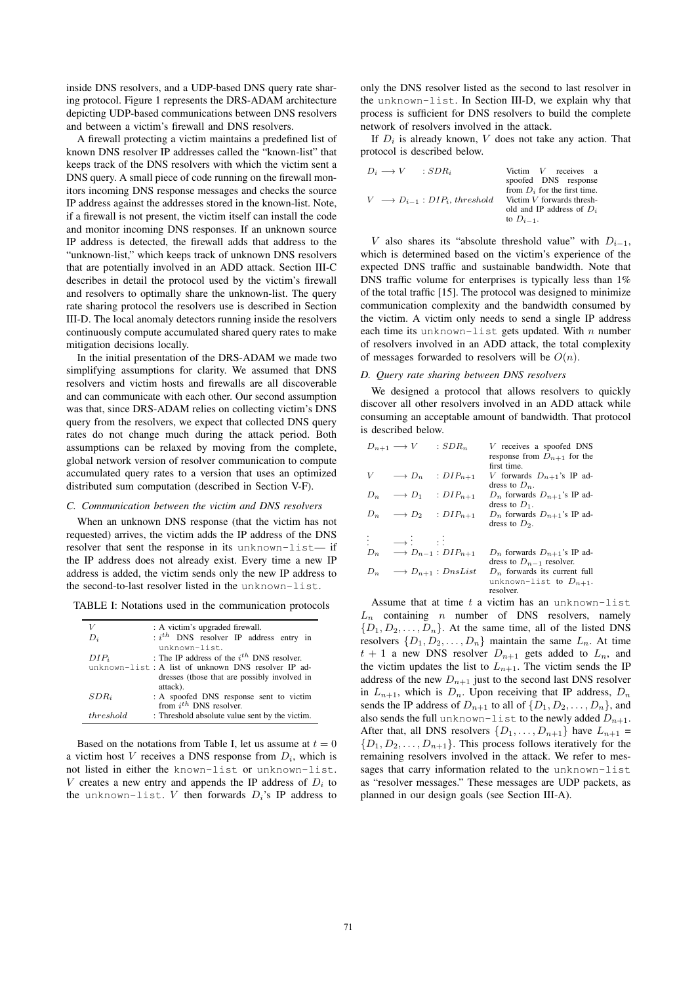inside DNS resolvers, and a UDP-based DNS query rate sharing protocol. Figure 1 represents the DRS-ADAM architecture depicting UDP-based communications between DNS resolvers and between a victim's firewall and DNS resolvers.

A firewall protecting a victim maintains a predefined list of known DNS resolver IP addresses called the "known-list" that keeps track of the DNS resolvers with which the victim sent a DNS query. A small piece of code running on the firewall monitors incoming DNS response messages and checks the source IP address against the addresses stored in the known-list. Note, if a firewall is not present, the victim itself can install the code and monitor incoming DNS responses. If an unknown source IP address is detected, the firewall adds that address to the "unknown-list," which keeps track of unknown DNS resolvers that are potentially involved in an ADD attack. Section III-C describes in detail the protocol used by the victim's firewall and resolvers to optimally share the unknown-list. The query rate sharing protocol the resolvers use is described in Section III-D. The local anomaly detectors running inside the resolvers continuously compute accumulated shared query rates to make mitigation decisions locally.

In the initial presentation of the DRS-ADAM we made two simplifying assumptions for clarity. We assumed that DNS resolvers and victim hosts and firewalls are all discoverable and can communicate with each other. Our second assumption was that, since DRS-ADAM relies on collecting victim's DNS query from the resolvers, we expect that collected DNS query rates do not change much during the attack period. Both assumptions can be relaxed by moving from the complete, global network version of resolver communication to compute accumulated query rates to a version that uses an optimized distributed sum computation (described in Section V-F).

# *C. Communication between the victim and DNS resolvers*

When an unknown DNS response (that the victim has not requested) arrives, the victim adds the IP address of the DNS resolver that sent the response in its unknown-list— if the IP address does not already exist. Every time a new IP address is added, the victim sends only the new IP address to the second-to-last resolver listed in the unknown-list.

TABLE I: Notations used in the communication protocols

| $D_i$     | : A victim's upgraded firewall.<br>: $i^{th}$ DNS resolver IP address entry in<br>unknown-list.     |
|-----------|-----------------------------------------------------------------------------------------------------|
| $DIP_i$   | : The IP address of the $ith$ DNS resolver.                                                         |
|           | unknown-list: A list of unknown DNS resolver IP ad-<br>dresses (those that are possibly involved in |
|           | attack).                                                                                            |
| $SDR_i$   | : A spoofed DNS response sent to victim<br>from $i^{th}$ DNS resolver.                              |
| threshold | : Threshold absolute value sent by the victim.                                                      |

Based on the notations from Table I, let us assume at  $t = 0$ a victim host V receives a DNS response from  $D_i$ , which is not listed in either the known-list or unknown-list. V creates a new entry and appends the IP address of  $D_i$  to the unknown-list. V then forwards  $D_i$ 's IP address to only the DNS resolver listed as the second to last resolver in the unknown-list. In Section III-D, we explain why that process is sufficient for DNS resolvers to build the complete network of resolvers involved in the attack.

If  $D_i$  is already known, V does not take any action. That protocol is described below.

| $D_i \longrightarrow V$ : $SDR_i$                          | Victim $V$ receives a          |
|------------------------------------------------------------|--------------------------------|
|                                                            | spoofed DNS response           |
|                                                            | from $D_i$ for the first time. |
| $V \longrightarrow D_{i-1}$ : DIP <sub>i</sub> , threshold | Victim $V$ forwards thresh-    |
|                                                            | old and IP address of $D_i$    |
|                                                            | to $D_{i-1}$ .                 |

V also shares its "absolute threshold value" with  $D_{i-1}$ , which is determined based on the victim's experience of the expected DNS traffic and sustainable bandwidth. Note that DNS traffic volume for enterprises is typically less than  $1\%$ of the total traffic [15]. The protocol was designed to minimize communication complexity and the bandwidth consumed by the victim. A victim only needs to send a single IP address each time its unknown-list gets updated. With  $n$  number of resolvers involved in an ADD attack, the total complexity of messages forwarded to resolvers will be  $O(n)$ .

#### *D. Query rate sharing between DNS resolvers*

We designed a protocol that allows resolvers to quickly discover all other resolvers involved in an ADD attack while consuming an acceptable amount of bandwidth. That protocol is described below.

| $D_{n+1} \longrightarrow V$                  | $:SDR_n$                                | V receives a spoofed DNS<br>response from $D_{n+1}$ for the<br>first time.  |
|----------------------------------------------|-----------------------------------------|-----------------------------------------------------------------------------|
| $V \longrightarrow D_n : DIP_{n+1}$          |                                         | V forwards $D_{n+1}$ 's IP ad-<br>dress to $D_n$ .                          |
| $D_n \longrightarrow D_1$ : $DIP_{n+1}$      |                                         | $D_n$ forwards $D_{n+1}$ 's IP ad-<br>dress to $D_1$ .                      |
| $D_n \longrightarrow D_2$ : $DIP_{n+1}$      |                                         | $D_n$ forwards $D_{n+1}$ 's IP ad-<br>dress to $D_2$ .                      |
| $\vdots$ $\longrightarrow$ $\vdots$ $\ldots$ |                                         |                                                                             |
| $D_n \longrightarrow D_{n-1} : DIP_{n+1}$    |                                         | $D_n$ forwards $D_{n+1}$ 's IP ad-<br>dress to $D_{n-1}$ resolver.          |
|                                              | $D_n \longrightarrow D_{n+1} : DnsList$ | $D_n$ forwards its current full<br>unknown-list to $D_{n+1}$ .<br>resolver. |

Assume that at time  $t$  a victim has an unknown-list  $L_n$  containing *n* number of DNS resolvers, namely  $\{D_1, D_2, \ldots, D_n\}$ . At the same time, all of the listed DNS resolvers  $\{D_1, D_2, \ldots, D_n\}$  maintain the same  $L_n$ . At time  $t + 1$  a new DNS resolver  $D_{n+1}$  gets added to  $L_n$ , and the victim updates the list to  $L_{n+1}$ . The victim sends the IP address of the new  $D_{n+1}$  just to the second last DNS resolver in  $L_{n+1}$ , which is  $D_n$ . Upon receiving that IP address,  $D_n$ sends the IP address of  $D_{n+1}$  to all of  $\{D_1, D_2, \ldots, D_n\}$ , and also sends the full unknown-list to the newly added  $D_{n+1}$ . After that, all DNS resolvers  $\{D_1, \ldots, D_{n+1}\}\$  have  $L_{n+1}$  =  $\{D_1, D_2, \ldots, D_{n+1}\}.$  This process follows iteratively for the remaining resolvers involved in the attack. We refer to messages that carry information related to the unknown-list as "resolver messages." These messages are UDP packets, as planned in our design goals (see Section III-A).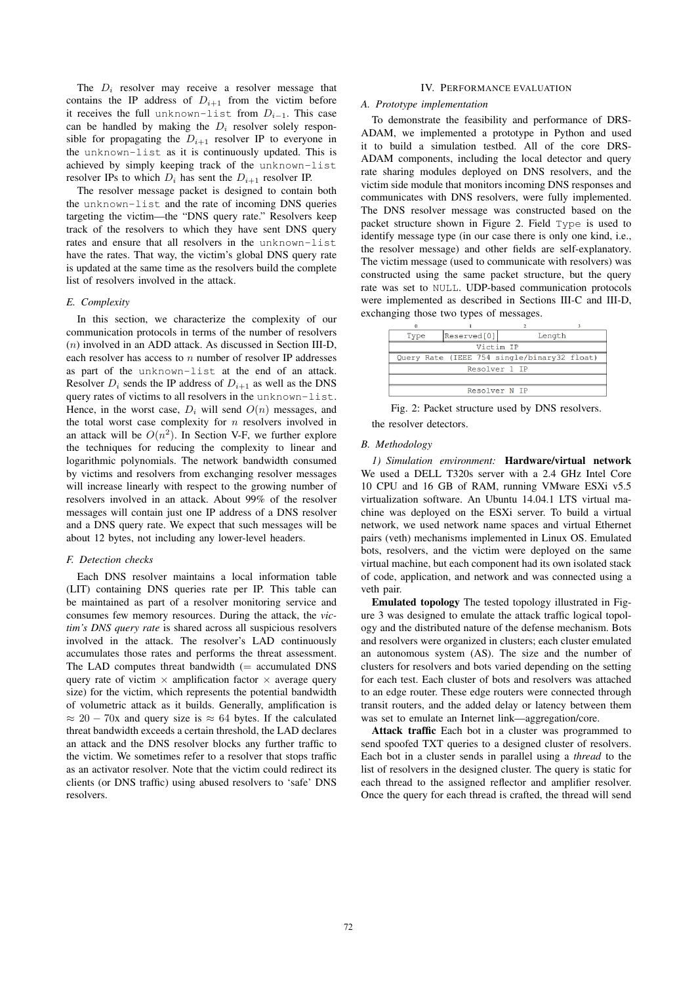The  $D_i$  resolver may receive a resolver message that contains the IP address of  $D_{i+1}$  from the victim before it receives the full unknown-list from  $D_{i-1}$ . This case can be handled by making the  $D_i$  resolver solely responsible for propagating the  $D_{i+1}$  resolver IP to everyone in the unknown-list as it is continuously updated. This is achieved by simply keeping track of the unknown-list resolver IPs to which  $D_i$  has sent the  $D_{i+1}$  resolver IP.

The resolver message packet is designed to contain both the unknown-list and the rate of incoming DNS queries targeting the victim—the "DNS query rate." Resolvers keep track of the resolvers to which they have sent DNS query rates and ensure that all resolvers in the unknown-list have the rates. That way, the victim's global DNS query rate is updated at the same time as the resolvers build the complete list of resolvers involved in the attack.

#### *E. Complexity*

In this section, we characterize the complexity of our communication protocols in terms of the number of resolvers (n) involved in an ADD attack. As discussed in Section III-D, each resolver has access to  $n$  number of resolver IP addresses as part of the unknown-list at the end of an attack. Resolver  $D_i$  sends the IP address of  $D_{i+1}$  as well as the DNS query rates of victims to all resolvers in the unknown-list. Hence, in the worst case,  $D_i$  will send  $O(n)$  messages, and the total worst case complexity for  $n$  resolvers involved in an attack will be  $O(n^2)$ . In Section V-F, we further explore the techniques for reducing the complexity to linear and logarithmic polynomials. The network bandwidth consumed by victims and resolvers from exchanging resolver messages will increase linearly with respect to the growing number of resolvers involved in an attack. About 99% of the resolver messages will contain just one IP address of a DNS resolver and a DNS query rate. We expect that such messages will be about 12 bytes, not including any lower-level headers.

# *F. Detection checks*

Each DNS resolver maintains a local information table (LIT) containing DNS queries rate per IP. This table can be maintained as part of a resolver monitoring service and consumes few memory resources. During the attack, the *victim's DNS query rate* is shared across all suspicious resolvers involved in the attack. The resolver's LAD continuously accumulates those rates and performs the threat assessment. The LAD computes threat bandwidth  $(=$  accumulated DNS query rate of victim  $\times$  amplification factor  $\times$  average query size) for the victim, which represents the potential bandwidth of volumetric attack as it builds. Generally, amplification is  $\approx 20 - 70x$  and query size is  $\approx 64$  bytes. If the calculated threat bandwidth exceeds a certain threshold, the LAD declares an attack and the DNS resolver blocks any further traffic to the victim. We sometimes refer to a resolver that stops traffic as an activator resolver. Note that the victim could redirect its clients (or DNS traffic) using abused resolvers to 'safe' DNS resolvers.

#### IV. PERFORMANCE EVALUATION

#### *A. Prototype implementation*

To demonstrate the feasibility and performance of DRS-ADAM, we implemented a prototype in Python and used it to build a simulation testbed. All of the core DRS-ADAM components, including the local detector and query rate sharing modules deployed on DNS resolvers, and the victim side module that monitors incoming DNS responses and communicates with DNS resolvers, were fully implemented. The DNS resolver message was constructed based on the packet structure shown in Figure 2. Field Type is used to identify message type (in our case there is only one kind, i.e., the resolver message) and other fields are self-explanatory. The victim message (used to communicate with resolvers) was constructed using the same packet structure, but the query rate was set to NULL. UDP-based communication protocols were implemented as described in Sections III-C and III-D, exchanging those two types of messages.



Fig. 2: Packet structure used by DNS resolvers. the resolver detectors.

## *B. Methodology*

*1) Simulation environment:* Hardware/virtual network We used a DELL T320s server with a 2.4 GHz Intel Core 10 CPU and 16 GB of RAM, running VMware ESXi v5.5 virtualization software. An Ubuntu 14.04.1 LTS virtual machine was deployed on the ESXi server. To build a virtual network, we used network name spaces and virtual Ethernet pairs (veth) mechanisms implemented in Linux OS. Emulated bots, resolvers, and the victim were deployed on the same virtual machine, but each component had its own isolated stack of code, application, and network and was connected using a veth pair.

Emulated topology The tested topology illustrated in Figure 3 was designed to emulate the attack traffic logical topology and the distributed nature of the defense mechanism. Bots and resolvers were organized in clusters; each cluster emulated an autonomous system (AS). The size and the number of clusters for resolvers and bots varied depending on the setting for each test. Each cluster of bots and resolvers was attached to an edge router. These edge routers were connected through transit routers, and the added delay or latency between them was set to emulate an Internet link—aggregation/core.

Attack traffic Each bot in a cluster was programmed to send spoofed TXT queries to a designed cluster of resolvers. Each bot in a cluster sends in parallel using a *thread* to the list of resolvers in the designed cluster. The query is static for each thread to the assigned reflector and amplifier resolver. Once the query for each thread is crafted, the thread will send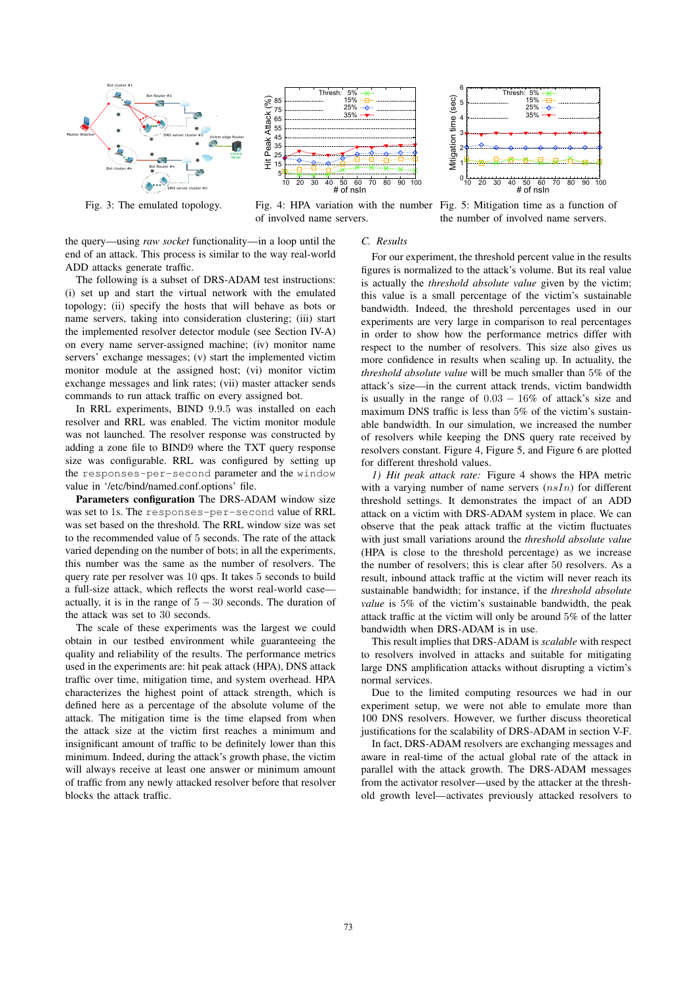

Fig. 3: The emulated topology.

the query—using *raw socket* functionality—in a loop until the end of an attack. This process is similar to the way real-world ADD attacks generate traffic.

The following is a subset of DRS-ADAM test instructions: (i) set up and start the virtual network with the emulated topology; (ii) specify the hosts that will behave as bots or name servers, taking into consideration clustering; (iii) start the implemented resolver detector module (see Section IV-A) on every name server-assigned machine; (iv) monitor name servers' exchange messages; (v) start the implemented victim monitor module at the assigned host; (vi) monitor victim exchange messages and link rates; (vii) master attacker sends commands to run attack traffic on every assigned bot.

In RRL experiments, BIND 9.9.5 was installed on each resolver and RRL was enabled. The victim monitor module was not launched. The resolver response was constructed by adding a zone file to BIND9 where the TXT query response size was configurable. RRL was configured by setting up the responses-per-second parameter and the window value in '/etc/bind/named.conf.options' file.

Parameters configuration The DRS-ADAM window size was set to 1s. The responses-per-second value of RRL was set based on the threshold. The RRL window size was set to the recommended value of 5 seconds. The rate of the attack varied depending on the number of bots; in all the experiments, this number was the same as the number of resolvers. The query rate per resolver was 10 qps. It takes 5 seconds to build a full-size attack, which reflects the worst real-world case actually, it is in the range of  $5 - 30$  seconds. The duration of the attack was set to 30 seconds.

The scale of these experiments was the largest we could obtain in our testbed environment while guaranteeing the quality and reliability of the results. The performance metrics used in the experiments are: hit peak attack (HPA), DNS attack traffic over time, mitigation time, and system overhead. HPA characterizes the highest point of attack strength, which is defined here as a percentage of the absolute volume of the attack. The mitigation time is the time elapsed from when the attack size at the victim first reaches a minimum and insignificant amount of traffic to be definitely lower than this minimum. Indeed, during the attack's growth phase, the victim will always receive at least one answer or minimum amount of traffic from any newly attacked resolver before that resolver blocks the attack traffic.



Fig. 4: HPA variation with the number Fig. 5: Mitigation time as a function of of involved name servers.



the number of involved name servers.

# *C. Results*

For our experiment, the threshold percent value in the results figures is normalized to the attack's volume. But its real value is actually the *threshold absolute value* given by the victim; this value is a small percentage of the victim's sustainable bandwidth. Indeed, the threshold percentages used in our experiments are very large in comparison to real percentages in order to show how the performance metrics differ with respect to the number of resolvers. This size also gives us more confidence in results when scaling up. In actuality, the *threshold absolute value* will be much smaller than 5% of the attack's size—in the current attack trends, victim bandwidth is usually in the range of  $0.03 - 16\%$  of attack's size and maximum DNS traffic is less than 5% of the victim's sustainable bandwidth. In our simulation, we increased the number of resolvers while keeping the DNS query rate received by resolvers constant. Figure 4, Figure 5, and Figure 6 are plotted for different threshold values.

*1) Hit peak attack rate:* Figure 4 shows the HPA metric with a varying number of name servers  $(nsIn)$  for different threshold settings. It demonstrates the impact of an ADD attack on a victim with DRS-ADAM system in place. We can observe that the peak attack traffic at the victim fluctuates with just small variations around the *threshold absolute value* (HPA is close to the threshold percentage) as we increase the number of resolvers; this is clear after 50 resolvers. As a result, inbound attack traffic at the victim will never reach its sustainable bandwidth; for instance, if the *threshold absolute value* is 5% of the victim's sustainable bandwidth, the peak attack traffic at the victim will only be around 5% of the latter bandwidth when DRS-ADAM is in use.

This result implies that DRS-ADAM is *scalable* with respect to resolvers involved in attacks and suitable for mitigating large DNS amplification attacks without disrupting a victim's normal services.

Due to the limited computing resources we had in our experiment setup, we were not able to emulate more than 100 DNS resolvers. However, we further discuss theoretical justifications for the scalability of DRS-ADAM in section V-F.

In fact, DRS-ADAM resolvers are exchanging messages and aware in real-time of the actual global rate of the attack in parallel with the attack growth. The DRS-ADAM messages from the activator resolver—used by the attacker at the threshold growth level—activates previously attacked resolvers to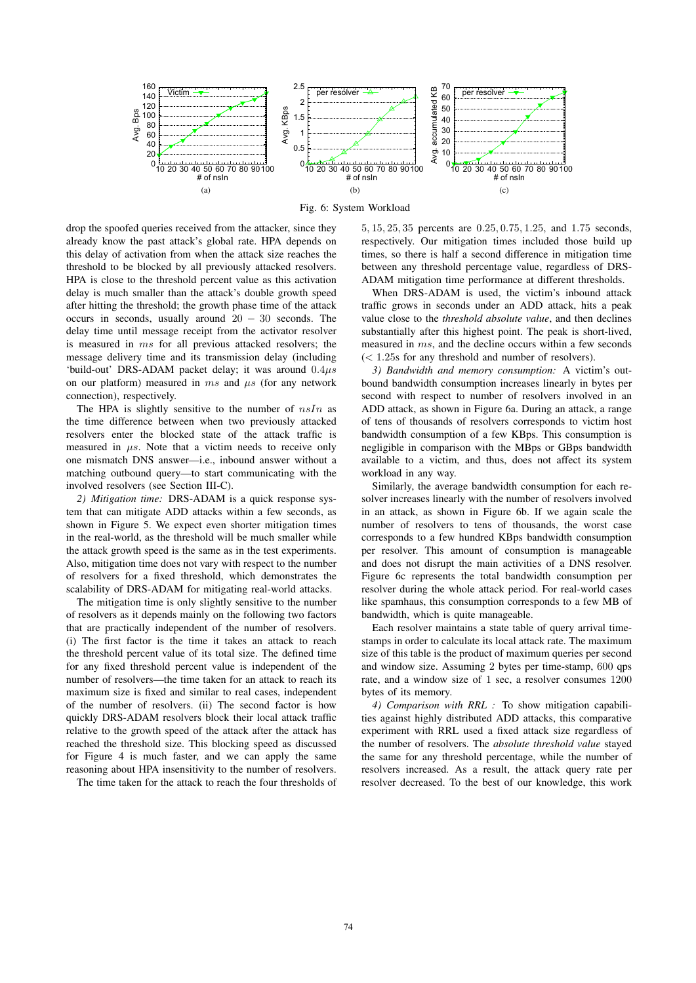

Fig. 6: System Workload

drop the spoofed queries received from the attacker, since they already know the past attack's global rate. HPA depends on this delay of activation from when the attack size reaches the threshold to be blocked by all previously attacked resolvers. HPA is close to the threshold percent value as this activation delay is much smaller than the attack's double growth speed after hitting the threshold; the growth phase time of the attack occurs in seconds, usually around  $20 - 30$  seconds. The delay time until message receipt from the activator resolver is measured in ms for all previous attacked resolvers; the message delivery time and its transmission delay (including 'build-out' DRS-ADAM packet delay; it was around  $0.4\mu s$ on our platform) measured in  $ms$  and  $\mu s$  (for any network connection), respectively.

The HPA is slightly sensitive to the number of  $nsln$  as the time difference between when two previously attacked resolvers enter the blocked state of the attack traffic is measured in  $\mu s$ . Note that a victim needs to receive only one mismatch DNS answer—i.e., inbound answer without a matching outbound query—to start communicating with the involved resolvers (see Section III-C).

*2) Mitigation time:* DRS-ADAM is a quick response system that can mitigate ADD attacks within a few seconds, as shown in Figure 5. We expect even shorter mitigation times in the real-world, as the threshold will be much smaller while the attack growth speed is the same as in the test experiments. Also, mitigation time does not vary with respect to the number of resolvers for a fixed threshold, which demonstrates the scalability of DRS-ADAM for mitigating real-world attacks.

The mitigation time is only slightly sensitive to the number of resolvers as it depends mainly on the following two factors that are practically independent of the number of resolvers. (i) The first factor is the time it takes an attack to reach the threshold percent value of its total size. The defined time for any fixed threshold percent value is independent of the number of resolvers—the time taken for an attack to reach its maximum size is fixed and similar to real cases, independent of the number of resolvers. (ii) The second factor is how quickly DRS-ADAM resolvers block their local attack traffic relative to the growth speed of the attack after the attack has reached the threshold size. This blocking speed as discussed for Figure 4 is much faster, and we can apply the same reasoning about HPA insensitivity to the number of resolvers.

The time taken for the attack to reach the four thresholds of

5, 15, 25, 35 percents are 0.25, 0.75, 1.25, and 1.75 seconds, respectively. Our mitigation times included those build up times, so there is half a second difference in mitigation time between any threshold percentage value, regardless of DRS-ADAM mitigation time performance at different thresholds.

When DRS-ADAM is used, the victim's inbound attack traffic grows in seconds under an ADD attack, hits a peak value close to the *threshold absolute value*, and then declines substantially after this highest point. The peak is short-lived, measured in ms, and the decline occurs within a few seconds  $(< 1.25$ s for any threshold and number of resolvers).

*3) Bandwidth and memory consumption:* A victim's outbound bandwidth consumption increases linearly in bytes per second with respect to number of resolvers involved in an ADD attack, as shown in Figure 6a. During an attack, a range of tens of thousands of resolvers corresponds to victim host bandwidth consumption of a few KBps. This consumption is negligible in comparison with the MBps or GBps bandwidth available to a victim, and thus, does not affect its system workload in any way.

Similarly, the average bandwidth consumption for each resolver increases linearly with the number of resolvers involved in an attack, as shown in Figure 6b. If we again scale the number of resolvers to tens of thousands, the worst case corresponds to a few hundred KBps bandwidth consumption per resolver. This amount of consumption is manageable and does not disrupt the main activities of a DNS resolver. Figure 6c represents the total bandwidth consumption per resolver during the whole attack period. For real-world cases like spamhaus, this consumption corresponds to a few MB of bandwidth, which is quite manageable.

Each resolver maintains a state table of query arrival timestamps in order to calculate its local attack rate. The maximum size of this table is the product of maximum queries per second and window size. Assuming 2 bytes per time-stamp, 600 qps rate, and a window size of 1 sec, a resolver consumes 1200 bytes of its memory.

*4) Comparison with RRL :* To show mitigation capabilities against highly distributed ADD attacks, this comparative experiment with RRL used a fixed attack size regardless of the number of resolvers. The *absolute threshold value* stayed the same for any threshold percentage, while the number of resolvers increased. As a result, the attack query rate per resolver decreased. To the best of our knowledge, this work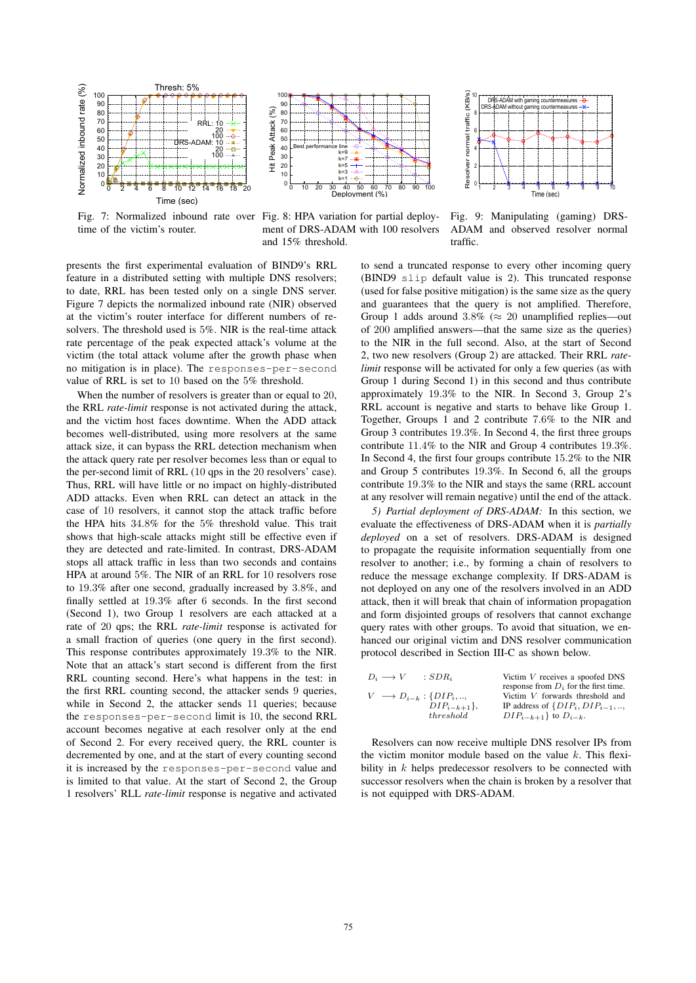

Fig. 7: Normalized inbound rate over Fig. 8: HPA variation for partial deploytime of the victim's router.



ment of DRS-ADAM with 100 resolvers and 15% threshold.



Fig. 9: Manipulating (gaming) DRS-ADAM and observed resolver normal traffic.

presents the first experimental evaluation of BIND9's RRL feature in a distributed setting with multiple DNS resolvers; to date, RRL has been tested only on a single DNS server. Figure 7 depicts the normalized inbound rate (NIR) observed at the victim's router interface for different numbers of resolvers. The threshold used is 5%. NIR is the real-time attack rate percentage of the peak expected attack's volume at the victim (the total attack volume after the growth phase when no mitigation is in place). The responses-per-second value of RRL is set to 10 based on the 5% threshold.

When the number of resolvers is greater than or equal to 20, the RRL *rate-limit* response is not activated during the attack, and the victim host faces downtime. When the ADD attack becomes well-distributed, using more resolvers at the same attack size, it can bypass the RRL detection mechanism when the attack query rate per resolver becomes less than or equal to the per-second limit of RRL (10 qps in the 20 resolvers' case). Thus, RRL will have little or no impact on highly-distributed ADD attacks. Even when RRL can detect an attack in the case of 10 resolvers, it cannot stop the attack traffic before the HPA hits 34.8% for the 5% threshold value. This trait shows that high-scale attacks might still be effective even if they are detected and rate-limited. In contrast, DRS-ADAM stops all attack traffic in less than two seconds and contains HPA at around 5%. The NIR of an RRL for 10 resolvers rose to 19.3% after one second, gradually increased by 3.8%, and finally settled at 19.3% after 6 seconds. In the first second (Second 1), two Group 1 resolvers are each attacked at a rate of 20 qps; the RRL *rate-limit* response is activated for a small fraction of queries (one query in the first second). This response contributes approximately 19.3% to the NIR. Note that an attack's start second is different from the first RRL counting second. Here's what happens in the test: in the first RRL counting second, the attacker sends 9 queries, while in Second 2, the attacker sends 11 queries; because the responses-per-second limit is 10, the second RRL account becomes negative at each resolver only at the end of Second 2. For every received query, the RRL counter is decremented by one, and at the start of every counting second it is increased by the responses-per-second value and is limited to that value. At the start of Second 2, the Group 1 resolvers' RLL *rate-limit* response is negative and activated to send a truncated response to every other incoming query (BIND9 slip default value is 2). This truncated response (used for false positive mitigation) is the same size as the query and guarantees that the query is not amplified. Therefore, Group 1 adds around  $3.8\%$  ( $\approx 20$  unamplified replies—out of 200 amplified answers—that the same size as the queries) to the NIR in the full second. Also, at the start of Second 2, two new resolvers (Group 2) are attacked. Their RRL *ratelimit* response will be activated for only a few queries (as with Group 1 during Second 1) in this second and thus contribute approximately 19.3% to the NIR. In Second 3, Group 2's RRL account is negative and starts to behave like Group 1. Together, Groups 1 and 2 contribute 7.6% to the NIR and Group 3 contributes 19.3%. In Second 4, the first three groups contribute 11.4% to the NIR and Group 4 contributes 19.3%. In Second 4, the first four groups contribute 15.2% to the NIR and Group 5 contributes 19.3%. In Second 6, all the groups contribute 19.3% to the NIR and stays the same (RRL account at any resolver will remain negative) until the end of the attack.

*5) Partial deployment of DRS-ADAM:* In this section, we evaluate the effectiveness of DRS-ADAM when it is *partially deployed* on a set of resolvers. DRS-ADAM is designed to propagate the requisite information sequentially from one resolver to another; i.e., by forming a chain of resolvers to reduce the message exchange complexity. If DRS-ADAM is not deployed on any one of the resolvers involved in an ADD attack, then it will break that chain of information propagation and form disjointed groups of resolvers that cannot exchange query rates with other groups. To avoid that situation, we enhanced our original victim and DNS resolver communication protocol described in Section III-C as shown below.

| $:SDR_i$<br>$D_i \longrightarrow V$               | Victim $V$ receives a spoofed DNS           |
|---------------------------------------------------|---------------------------------------------|
|                                                   | response from $D_i$ for the first time.     |
| $V \longrightarrow D_{i-k} : \{DIP_i, \ldots, \}$ | Victim V forwards threshold and             |
| $DIP_{i-k+1}\},\$                                 | IP address of $\{DIP_i, DIP_{i-1}, \ldots,$ |
| threshold                                         | $DIP_{i-k+1}$ to $D_{i-k}$ .                |

Resolvers can now receive multiple DNS resolver IPs from the victim monitor module based on the value  $k$ . This flexibility in  $k$  helps predecessor resolvers to be connected with successor resolvers when the chain is broken by a resolver that is not equipped with DRS-ADAM.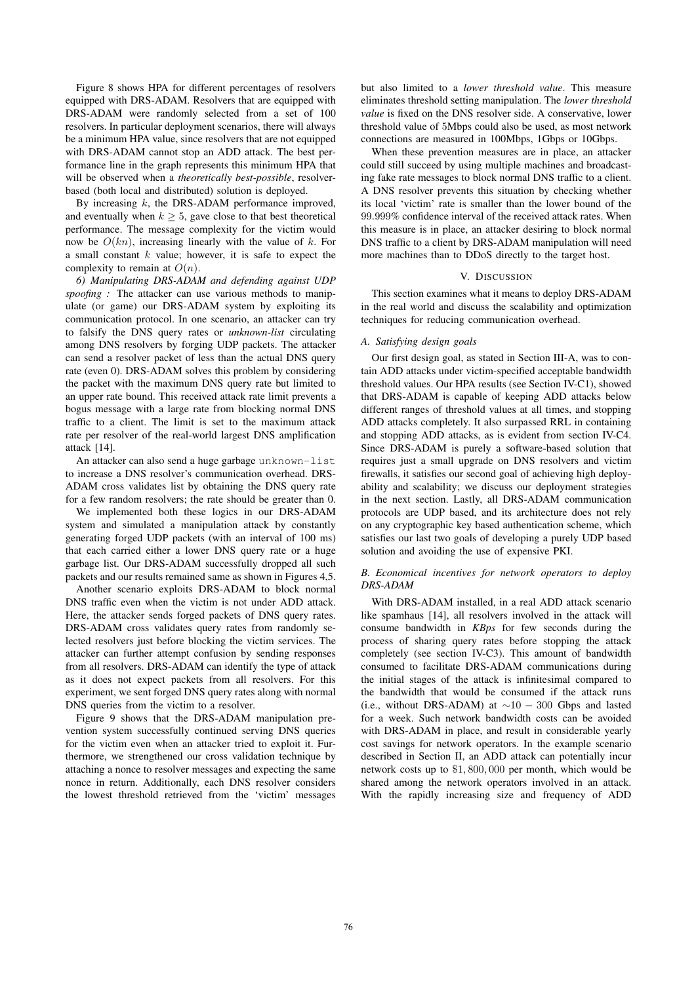Figure 8 shows HPA for different percentages of resolvers equipped with DRS-ADAM. Resolvers that are equipped with DRS-ADAM were randomly selected from a set of 100 resolvers. In particular deployment scenarios, there will always be a minimum HPA value, since resolvers that are not equipped with DRS-ADAM cannot stop an ADD attack. The best performance line in the graph represents this minimum HPA that will be observed when a *theoretically best-possible*, resolverbased (both local and distributed) solution is deployed.

By increasing  $k$ , the DRS-ADAM performance improved, and eventually when  $k \geq 5$ , gave close to that best theoretical performance. The message complexity for the victim would now be  $O(kn)$ , increasing linearly with the value of k. For a small constant  $k$  value; however, it is safe to expect the complexity to remain at  $O(n)$ .

*6) Manipulating DRS-ADAM and defending against UDP spoofing :* The attacker can use various methods to manipulate (or game) our DRS-ADAM system by exploiting its communication protocol. In one scenario, an attacker can try to falsify the DNS query rates or *unknown-list* circulating among DNS resolvers by forging UDP packets. The attacker can send a resolver packet of less than the actual DNS query rate (even 0). DRS-ADAM solves this problem by considering the packet with the maximum DNS query rate but limited to an upper rate bound. This received attack rate limit prevents a bogus message with a large rate from blocking normal DNS traffic to a client. The limit is set to the maximum attack rate per resolver of the real-world largest DNS amplification attack [14].

An attacker can also send a huge garbage unknown-list to increase a DNS resolver's communication overhead. DRS-ADAM cross validates list by obtaining the DNS query rate for a few random resolvers; the rate should be greater than 0.

We implemented both these logics in our DRS-ADAM system and simulated a manipulation attack by constantly generating forged UDP packets (with an interval of 100 ms) that each carried either a lower DNS query rate or a huge garbage list. Our DRS-ADAM successfully dropped all such packets and our results remained same as shown in Figures 4,5.

Another scenario exploits DRS-ADAM to block normal DNS traffic even when the victim is not under ADD attack. Here, the attacker sends forged packets of DNS query rates. DRS-ADAM cross validates query rates from randomly selected resolvers just before blocking the victim services. The attacker can further attempt confusion by sending responses from all resolvers. DRS-ADAM can identify the type of attack as it does not expect packets from all resolvers. For this experiment, we sent forged DNS query rates along with normal DNS queries from the victim to a resolver.

Figure 9 shows that the DRS-ADAM manipulation prevention system successfully continued serving DNS queries for the victim even when an attacker tried to exploit it. Furthermore, we strengthened our cross validation technique by attaching a nonce to resolver messages and expecting the same nonce in return. Additionally, each DNS resolver considers the lowest threshold retrieved from the 'victim' messages but also limited to a *lower threshold value*. This measure eliminates threshold setting manipulation. The *lower threshold value* is fixed on the DNS resolver side. A conservative, lower threshold value of 5Mbps could also be used, as most network connections are measured in 100Mbps, 1Gbps or 10Gbps.

When these prevention measures are in place, an attacker could still succeed by using multiple machines and broadcasting fake rate messages to block normal DNS traffic to a client. A DNS resolver prevents this situation by checking whether its local 'victim' rate is smaller than the lower bound of the 99.999% confidence interval of the received attack rates. When this measure is in place, an attacker desiring to block normal DNS traffic to a client by DRS-ADAM manipulation will need more machines than to DDoS directly to the target host.

#### V. DISCUSSION

This section examines what it means to deploy DRS-ADAM in the real world and discuss the scalability and optimization techniques for reducing communication overhead.

# *A. Satisfying design goals*

Our first design goal, as stated in Section III-A, was to contain ADD attacks under victim-specified acceptable bandwidth threshold values. Our HPA results (see Section IV-C1), showed that DRS-ADAM is capable of keeping ADD attacks below different ranges of threshold values at all times, and stopping ADD attacks completely. It also surpassed RRL in containing and stopping ADD attacks, as is evident from section IV-C4. Since DRS-ADAM is purely a software-based solution that requires just a small upgrade on DNS resolvers and victim firewalls, it satisfies our second goal of achieving high deployability and scalability; we discuss our deployment strategies in the next section. Lastly, all DRS-ADAM communication protocols are UDP based, and its architecture does not rely on any cryptographic key based authentication scheme, which satisfies our last two goals of developing a purely UDP based solution and avoiding the use of expensive PKI.

# *B. Economical incentives for network operators to deploy DRS-ADAM*

With DRS-ADAM installed, in a real ADD attack scenario like spamhaus [14], all resolvers involved in the attack will consume bandwidth in *KBps* for few seconds during the process of sharing query rates before stopping the attack completely (see section IV-C3). This amount of bandwidth consumed to facilitate DRS-ADAM communications during the initial stages of the attack is infinitesimal compared to the bandwidth that would be consumed if the attack runs (i.e., without DRS-ADAM) at  $\sim$ 10 − 300 Gbps and lasted for a week. Such network bandwidth costs can be avoided with DRS-ADAM in place, and result in considerable yearly cost savings for network operators. In the example scenario described in Section II, an ADD attack can potentially incur network costs up to \$1, 800, 000 per month, which would be shared among the network operators involved in an attack. With the rapidly increasing size and frequency of ADD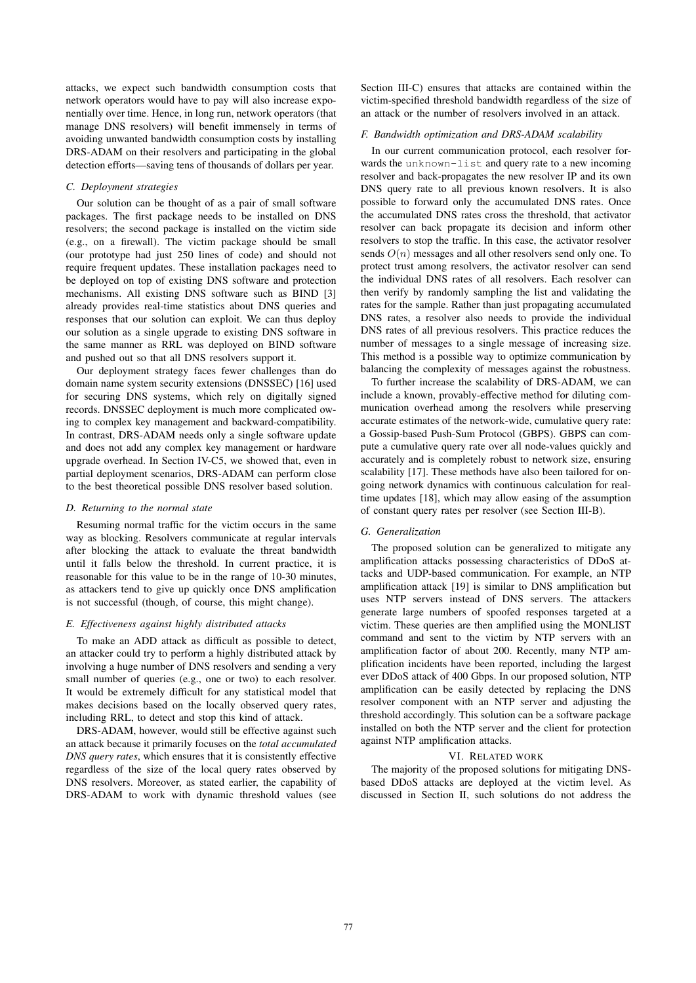attacks, we expect such bandwidth consumption costs that network operators would have to pay will also increase exponentially over time. Hence, in long run, network operators (that manage DNS resolvers) will benefit immensely in terms of avoiding unwanted bandwidth consumption costs by installing DRS-ADAM on their resolvers and participating in the global detection efforts—saving tens of thousands of dollars per year.

# *C. Deployment strategies*

Our solution can be thought of as a pair of small software packages. The first package needs to be installed on DNS resolvers; the second package is installed on the victim side (e.g., on a firewall). The victim package should be small (our prototype had just 250 lines of code) and should not require frequent updates. These installation packages need to be deployed on top of existing DNS software and protection mechanisms. All existing DNS software such as BIND [3] already provides real-time statistics about DNS queries and responses that our solution can exploit. We can thus deploy our solution as a single upgrade to existing DNS software in the same manner as RRL was deployed on BIND software and pushed out so that all DNS resolvers support it.

Our deployment strategy faces fewer challenges than do domain name system security extensions (DNSSEC) [16] used for securing DNS systems, which rely on digitally signed records. DNSSEC deployment is much more complicated owing to complex key management and backward-compatibility. In contrast, DRS-ADAM needs only a single software update and does not add any complex key management or hardware upgrade overhead. In Section IV-C5, we showed that, even in partial deployment scenarios, DRS-ADAM can perform close to the best theoretical possible DNS resolver based solution.

## *D. Returning to the normal state*

Resuming normal traffic for the victim occurs in the same way as blocking. Resolvers communicate at regular intervals after blocking the attack to evaluate the threat bandwidth until it falls below the threshold. In current practice, it is reasonable for this value to be in the range of 10-30 minutes, as attackers tend to give up quickly once DNS amplification is not successful (though, of course, this might change).

# *E. Effectiveness against highly distributed attacks*

To make an ADD attack as difficult as possible to detect, an attacker could try to perform a highly distributed attack by involving a huge number of DNS resolvers and sending a very small number of queries (e.g., one or two) to each resolver. It would be extremely difficult for any statistical model that makes decisions based on the locally observed query rates, including RRL, to detect and stop this kind of attack.

DRS-ADAM, however, would still be effective against such an attack because it primarily focuses on the *total accumulated DNS query rates*, which ensures that it is consistently effective regardless of the size of the local query rates observed by DNS resolvers. Moreover, as stated earlier, the capability of DRS-ADAM to work with dynamic threshold values (see

Section III-C) ensures that attacks are contained within the victim-specified threshold bandwidth regardless of the size of an attack or the number of resolvers involved in an attack.

# *F. Bandwidth optimization and DRS-ADAM scalability*

In our current communication protocol, each resolver forwards the unknown-list and query rate to a new incoming resolver and back-propagates the new resolver IP and its own DNS query rate to all previous known resolvers. It is also possible to forward only the accumulated DNS rates. Once the accumulated DNS rates cross the threshold, that activator resolver can back propagate its decision and inform other resolvers to stop the traffic. In this case, the activator resolver sends  $O(n)$  messages and all other resolvers send only one. To protect trust among resolvers, the activator resolver can send the individual DNS rates of all resolvers. Each resolver can then verify by randomly sampling the list and validating the rates for the sample. Rather than just propagating accumulated DNS rates, a resolver also needs to provide the individual DNS rates of all previous resolvers. This practice reduces the number of messages to a single message of increasing size. This method is a possible way to optimize communication by balancing the complexity of messages against the robustness.

To further increase the scalability of DRS-ADAM, we can include a known, provably-effective method for diluting communication overhead among the resolvers while preserving accurate estimates of the network-wide, cumulative query rate: a Gossip-based Push-Sum Protocol (GBPS). GBPS can compute a cumulative query rate over all node-values quickly and accurately and is completely robust to network size, ensuring scalability [17]. These methods have also been tailored for ongoing network dynamics with continuous calculation for realtime updates [18], which may allow easing of the assumption of constant query rates per resolver (see Section III-B).

# *G. Generalization*

The proposed solution can be generalized to mitigate any amplification attacks possessing characteristics of DDoS attacks and UDP-based communication. For example, an NTP amplification attack [19] is similar to DNS amplification but uses NTP servers instead of DNS servers. The attackers generate large numbers of spoofed responses targeted at a victim. These queries are then amplified using the MONLIST command and sent to the victim by NTP servers with an amplification factor of about 200. Recently, many NTP amplification incidents have been reported, including the largest ever DDoS attack of 400 Gbps. In our proposed solution, NTP amplification can be easily detected by replacing the DNS resolver component with an NTP server and adjusting the threshold accordingly. This solution can be a software package installed on both the NTP server and the client for protection against NTP amplification attacks.

#### VI. RELATED WORK

The majority of the proposed solutions for mitigating DNSbased DDoS attacks are deployed at the victim level. As discussed in Section II, such solutions do not address the